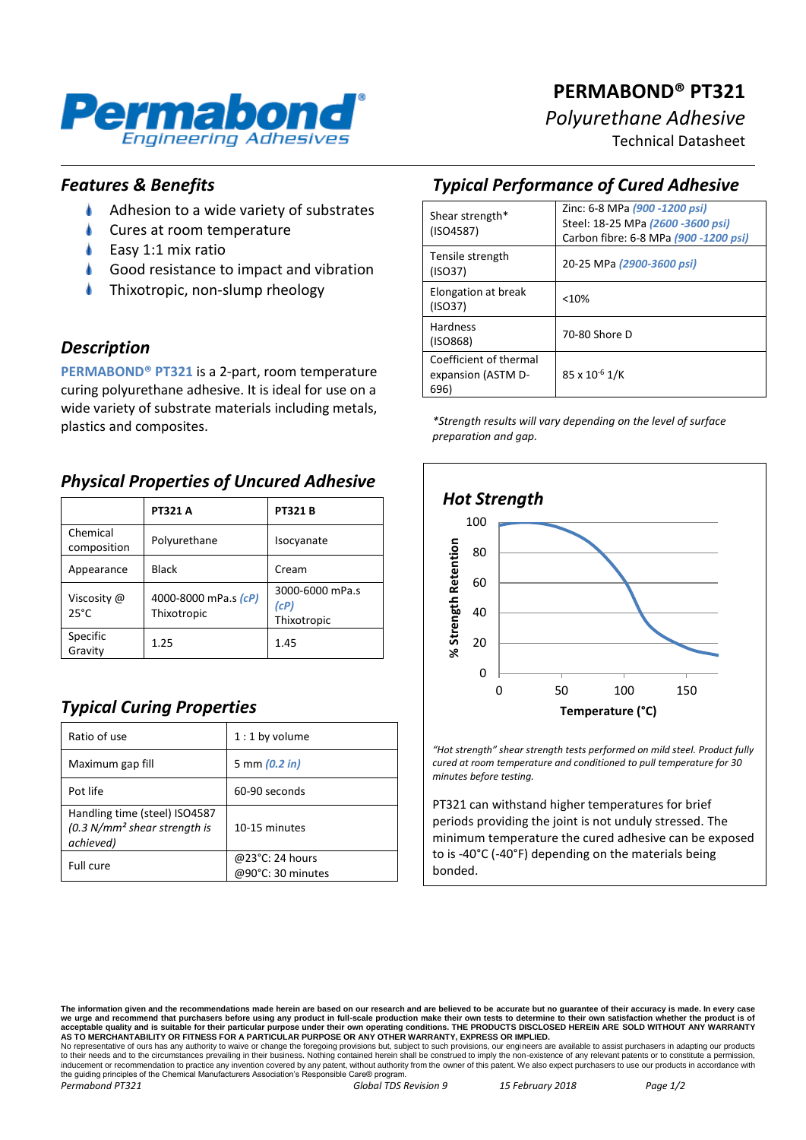

# **PERMABOND® PT321** *Polyurethane Adhesive*

Technical Datasheet

### *Features & Benefits*

- $\bullet$ Adhesion to a wide variety of substrates
- Cures at room temperature
- Easy 1:1 mix ratio
- Good resistance to impact and vibration
- Thixotropic, non-slump rheology

### *Description*

**PERMABOND® PT321** is a 2-part, room temperature curing polyurethane adhesive. It is ideal for use on a wide variety of substrate materials including metals, plastics and composites.

### *Physical Properties of Uncured Adhesive*

|                               | <b>PT321 A</b>                      | <b>PT321B</b>                          |
|-------------------------------|-------------------------------------|----------------------------------------|
| Chemical<br>composition       | Polyurethane                        | Isocyanate                             |
| Appearance                    | <b>Black</b>                        | Cream                                  |
| Viscosity @<br>$25^{\circ}$ C | 4000-8000 mPa.s (cP)<br>Thixotropic | 3000-6000 mPa.s<br>(cP)<br>Thixotropic |
| Specific<br>Gravity           | 1.25                                | 1.45                                   |

## *Typical Curing Properties*

| Ratio of use                                                                 | $1:1$ by volume                      |
|------------------------------------------------------------------------------|--------------------------------------|
| Maximum gap fill                                                             | 5 mm (0.2 in)                        |
| Pot life                                                                     | 60-90 seconds                        |
| Handling time (steel) ISO4587<br>$(0.3 N/mm2 shear strength is$<br>achieved) | 10-15 minutes                        |
| Full cure                                                                    | @23°C: 24 hours<br>@90°C: 30 minutes |

### *Typical Performance of Cured Adhesive*

| Shear strength*<br>(ISO4587)                         | Zinc: 6-8 MPa (900 -1200 psi)<br>Steel: 18-25 MPa (2600 -3600 psi)<br>Carbon fibre: 6-8 MPa (900 -1200 psi) |
|------------------------------------------------------|-------------------------------------------------------------------------------------------------------------|
| Tensile strength<br>(ISO37)                          | 20-25 MPa (2900-3600 psi)                                                                                   |
| Elongation at break<br>(ISO37)                       | < 10%                                                                                                       |
| <b>Hardness</b><br>(ISO868)                          | 70-80 Shore D                                                                                               |
| Coefficient of thermal<br>expansion (ASTM D-<br>696) | 85 x 10 <sup>-6</sup> 1/K                                                                                   |

*\*Strength results will vary depending on the level of surface preparation and gap.*



*"Hot strength" shear strength tests performed on mild steel. Product fully cured at room temperature and conditioned to pull temperature for 30 minutes before testing.*

PT321 can withstand higher temperatures for brief periods providing the joint is not unduly stressed. The minimum temperature the cured adhesive can be exposed to is -40°C (-40°F) depending on the materials being bonded.

The information given and the recommendations made herein are based on our research and are believed to be accurate but no guarantee of their accuracy is made. In every case<br>we urge and recommend that purchasers before usi

No representative of ours has any authority to waive or change the foregoing provisions but, subject to such provisions, our engineers are available to assist purchasers in adapting our products<br>to their needs and to the c the guiding principles of the Chemical Manufacturers Association's Responsible Care® program. *Permabond PT321 Global TDS Revision 9 15 February 2018 Page 1/2*